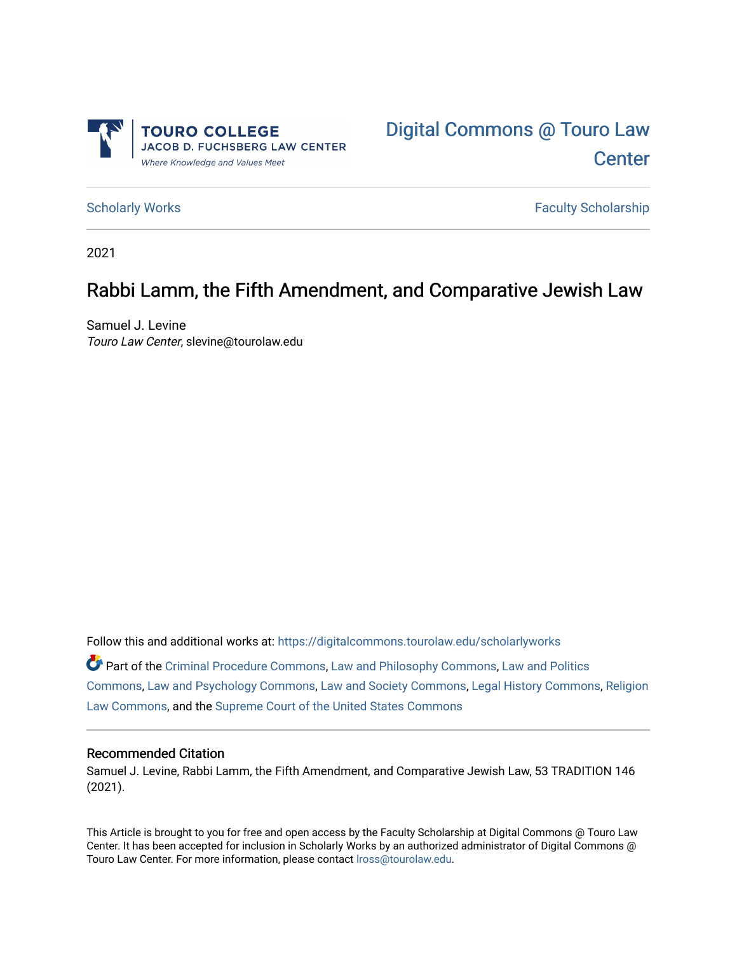



[Scholarly Works](https://digitalcommons.tourolaw.edu/scholarlyworks) **Faculty Scholarship** Scholarship

2021

# Rabbi Lamm, the Fifth Amendment, and Comparative Jewish Law

Samuel J. Levine Touro Law Center, slevine@tourolaw.edu

Follow this and additional works at: [https://digitalcommons.tourolaw.edu/scholarlyworks](https://digitalcommons.tourolaw.edu/scholarlyworks?utm_source=digitalcommons.tourolaw.edu%2Fscholarlyworks%2F817&utm_medium=PDF&utm_campaign=PDFCoverPages)

Part of the [Criminal Procedure Commons,](https://network.bepress.com/hgg/discipline/1073?utm_source=digitalcommons.tourolaw.edu%2Fscholarlyworks%2F817&utm_medium=PDF&utm_campaign=PDFCoverPages) [Law and Philosophy Commons,](https://network.bepress.com/hgg/discipline/1299?utm_source=digitalcommons.tourolaw.edu%2Fscholarlyworks%2F817&utm_medium=PDF&utm_campaign=PDFCoverPages) [Law and Politics](https://network.bepress.com/hgg/discipline/867?utm_source=digitalcommons.tourolaw.edu%2Fscholarlyworks%2F817&utm_medium=PDF&utm_campaign=PDFCoverPages)  [Commons](https://network.bepress.com/hgg/discipline/867?utm_source=digitalcommons.tourolaw.edu%2Fscholarlyworks%2F817&utm_medium=PDF&utm_campaign=PDFCoverPages), [Law and Psychology Commons](https://network.bepress.com/hgg/discipline/870?utm_source=digitalcommons.tourolaw.edu%2Fscholarlyworks%2F817&utm_medium=PDF&utm_campaign=PDFCoverPages), [Law and Society Commons,](https://network.bepress.com/hgg/discipline/853?utm_source=digitalcommons.tourolaw.edu%2Fscholarlyworks%2F817&utm_medium=PDF&utm_campaign=PDFCoverPages) [Legal History Commons](https://network.bepress.com/hgg/discipline/904?utm_source=digitalcommons.tourolaw.edu%2Fscholarlyworks%2F817&utm_medium=PDF&utm_campaign=PDFCoverPages), [Religion](https://network.bepress.com/hgg/discipline/872?utm_source=digitalcommons.tourolaw.edu%2Fscholarlyworks%2F817&utm_medium=PDF&utm_campaign=PDFCoverPages)  [Law Commons,](https://network.bepress.com/hgg/discipline/872?utm_source=digitalcommons.tourolaw.edu%2Fscholarlyworks%2F817&utm_medium=PDF&utm_campaign=PDFCoverPages) and the [Supreme Court of the United States Commons](https://network.bepress.com/hgg/discipline/1350?utm_source=digitalcommons.tourolaw.edu%2Fscholarlyworks%2F817&utm_medium=PDF&utm_campaign=PDFCoverPages) 

## Recommended Citation

Samuel J. Levine, Rabbi Lamm, the Fifth Amendment, and Comparative Jewish Law, 53 TRADITION 146 (2021).

This Article is brought to you for free and open access by the Faculty Scholarship at Digital Commons @ Touro Law Center. It has been accepted for inclusion in Scholarly Works by an authorized administrator of Digital Commons @ Touro Law Center. For more information, please contact [lross@tourolaw.edu](mailto:lross@tourolaw.edu).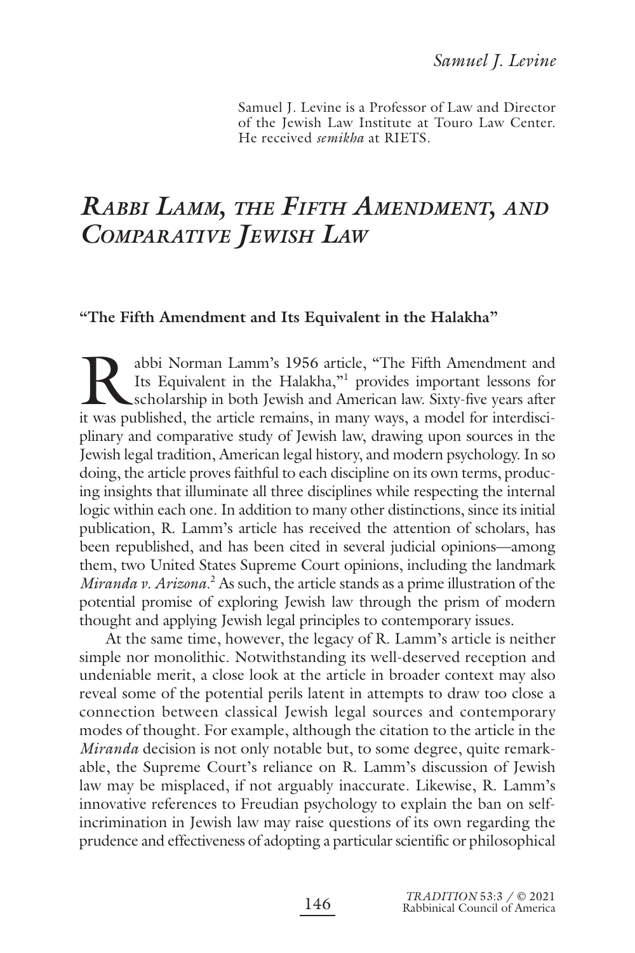Samuel J. Levine is a Professor of Law and Director of the Jewish Law Institute at Touro Law Center. He received *semikha* at RIETS.

# *RABBI LAMM, THE FIFTH AMENDMENT, AND COMPARATIVE JEWISH LAW*

#### **"The Fifth Amendment and Its Equivalent in the Halakha"**

Rabbi Norman Lamm's 1956 article, "The Fifth Amendment and Its Equivalent in the Halakha,"<sup>1</sup> provides important lessons for scholarship in both Jewish and American law. Sixty-five years after it was published, the article Its Equivalent in the Halakha,"<sup>1</sup> provides important lessons for scholarship in both Jewish and American law. Sixty-five years after it was published, the article remains, in many ways, a model for interdisciplinary and comparative study of Jewish law, drawing upon sources in the Jewish legal tradition, American legal history, and modern psychology. In so doing, the article proves faithful to each discipline on its own terms, producing insights that illuminate all three disciplines while respecting the internal logic within each one. In addition to many other distinctions, since its initial publication, R. Lamm's article has received the attention of scholars, has been republished, and has been cited in several judicial opinions—among them, two United States Supreme Court opinions, including the landmark Miranda v. Arizona.<sup>2</sup> As such, the article stands as a prime illustration of the potential promise of exploring Jewish law through the prism of modern thought and applying Jewish legal principles to contemporary issues.

At the same time, however, the legacy of R. Lamm's article is neither simple nor monolithic. Notwithstanding its well-deserved reception and undeniable merit, a close look at the article in broader context may also reveal some of the potential perils latent in attempts to draw too close a connection between classical Jewish legal sources and contemporary modes of thought. For example, although the citation to the article in the *Miranda* decision is not only notable but, to some degree, quite remarkable, the Supreme Court's reliance on R. Lamm's discussion of Jewish law may be misplaced, if not arguably inaccurate. Likewise, R. Lamm's innovative references to Freudian psychology to explain the ban on selfincrimination in Jewish law may raise questions of its own regarding the prudence and effectiveness of adopting a particular scientific or philosophical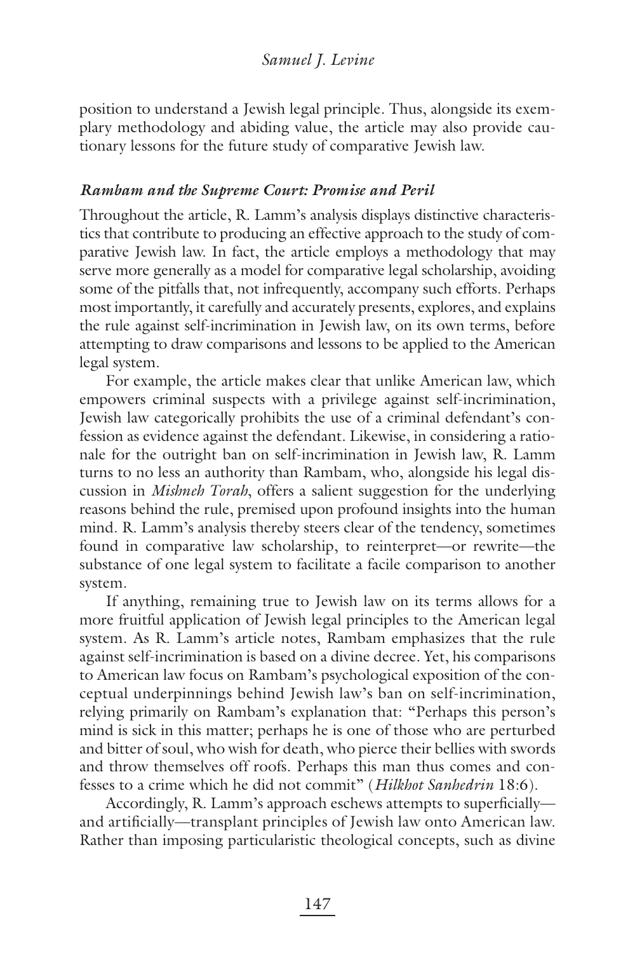position to understand a Jewish legal principle. Thus, alongside its exemplary methodology and abiding value, the article may also provide cautionary lessons for the future study of comparative Jewish law.

### *Rambam and the Supreme Court: Promise and Peril*

Throughout the article, R. Lamm's analysis displays distinctive characteristics that contribute to producing an effective approach to the study of comparative Jewish law. In fact, the article employs a methodology that may serve more generally as a model for comparative legal scholarship, avoiding some of the pitfalls that, not infrequently, accompany such efforts. Perhaps most importantly, it carefully and accurately presents, explores, and explains the rule against self-incrimination in Jewish law, on its own terms, before attempting to draw comparisons and lessons to be applied to the American legal system.

For example, the article makes clear that unlike American law, which empowers criminal suspects with a privilege against self-incrimination, Jewish law categorically prohibits the use of a criminal defendant's confession as evidence against the defendant. Likewise, in considering a rationale for the outright ban on self-incrimination in Jewish law, R. Lamm turns to no less an authority than Rambam, who, alongside his legal discussion in *Mishneh Torah*, offers a salient suggestion for the underlying reasons behind the rule, premised upon profound insights into the human mind. R. Lamm's analysis thereby steers clear of the tendency, sometimes found in comparative law scholarship, to reinterpret—or rewrite—the substance of one legal system to facilitate a facile comparison to another system.

If anything, remaining true to Jewish law on its terms allows for a more fruitful application of Jewish legal principles to the American legal system. As R. Lamm's article notes, Rambam emphasizes that the rule against self-incrimination is based on a divine decree. Yet, his comparisons to American law focus on Rambam's psychological exposition of the conceptual underpinnings behind Jewish law's ban on self-incrimination, relying primarily on Rambam's explanation that: "Perhaps this person's mind is sick in this matter; perhaps he is one of those who are perturbed and bitter of soul, who wish for death, who pierce their bellies with swords and throw themselves off roofs. Perhaps this man thus comes and confesses to a crime which he did not commit" (*Hilkhot Sanhedrin* 18:6).

Accordingly, R. Lamm's approach eschews attempts to superficiallyand artificially—transplant principles of Jewish law onto American law. Rather than imposing particularistic theological concepts, such as divine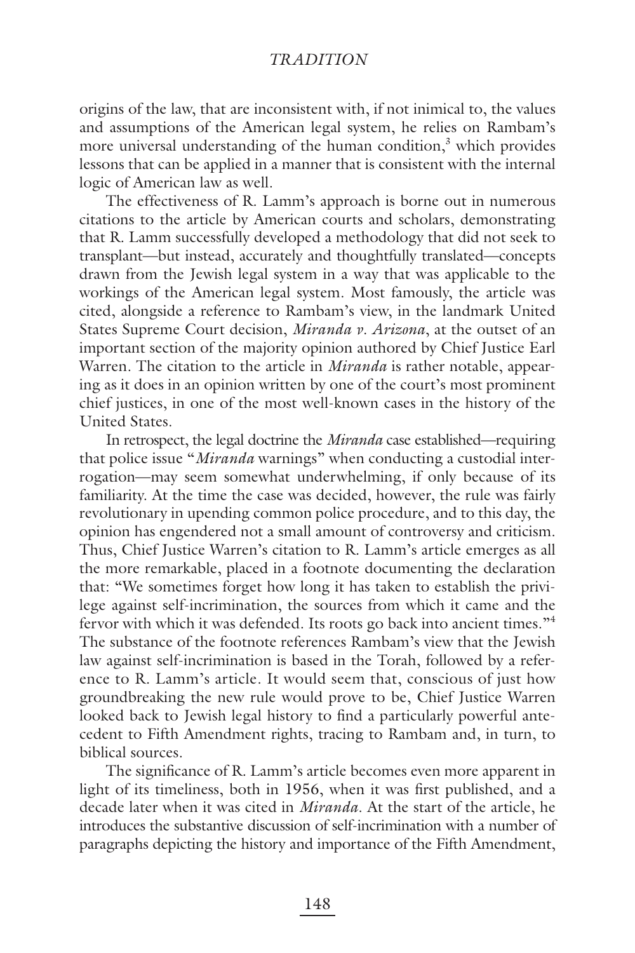origins of the law, that are inconsistent with, if not inimical to, the values and assumptions of the American legal system, he relies on Rambam's more universal understanding of the human condition,<sup>3</sup> which provides lessons that can be applied in a manner that is consistent with the internal logic of American law as well.

The effectiveness of R. Lamm's approach is borne out in numerous citations to the article by American courts and scholars, demonstrating that R. Lamm successfully developed a methodology that did not seek to transplant—but instead, accurately and thoughtfully translated—concepts drawn from the Jewish legal system in a way that was applicable to the workings of the American legal system. Most famously, the article was cited, alongside a reference to Rambam's view, in the landmark United States Supreme Court decision, *Miranda v. Arizona*, at the outset of an important section of the majority opinion authored by Chief Justice Earl Warren. The citation to the article in *Miranda* is rather notable, appearing as it does in an opinion written by one of the court's most prominent chief justices, in one of the most well-known cases in the history of the United States.

In retrospect, the legal doctrine the *Miranda* case established—requiring that police issue "*Miranda* warnings" when conducting a custodial interrogation—may seem somewhat underwhelming, if only because of its familiarity. At the time the case was decided, however, the rule was fairly revolutionary in upending common police procedure, and to this day, the opinion has engendered not a small amount of controversy and criticism. Thus, Chief Justice Warren's citation to R. Lamm's article emerges as all the more remarkable, placed in a footnote documenting the declaration that: "We sometimes forget how long it has taken to establish the privilege against self-incrimination, the sources from which it came and the fervor with which it was defended. Its roots go back into ancient times."4 The substance of the footnote references Rambam's view that the Jewish law against self-incrimination is based in the Torah, followed by a reference to R. Lamm's article. It would seem that, conscious of just how groundbreaking the new rule would prove to be, Chief Justice Warren looked back to Jewish legal history to find a particularly powerful antecedent to Fifth Amendment rights, tracing to Rambam and, in turn, to biblical sources.

The significance of R. Lamm's article becomes even more apparent in light of its timeliness, both in 1956, when it was first published, and a decade later when it was cited in *Miranda*. At the start of the article, he introduces the substantive discussion of self-incrimination with a number of paragraphs depicting the history and importance of the Fifth Amendment,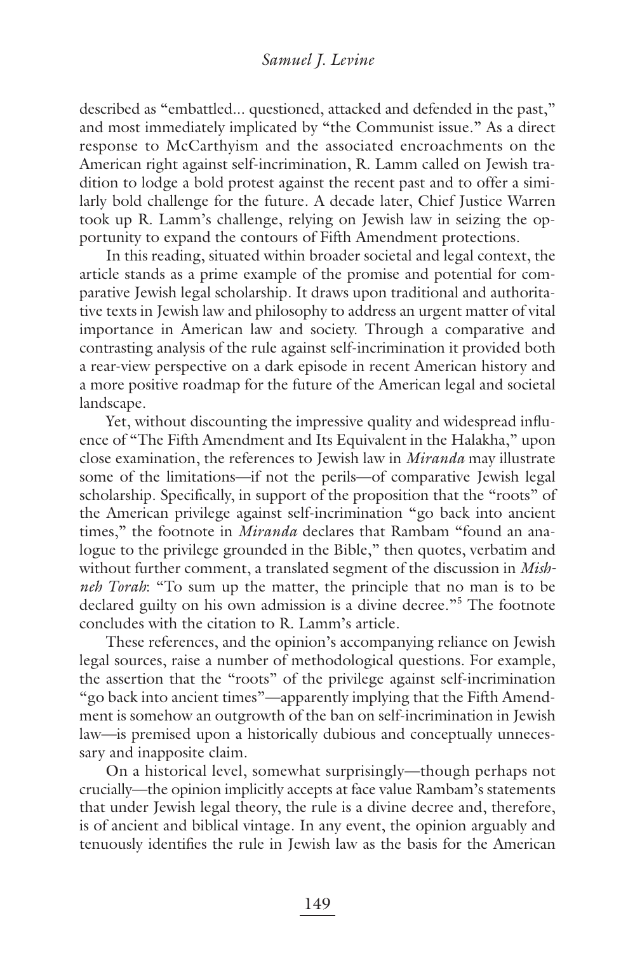described as "embattled... questioned, attacked and defended in the past," and most immediately implicated by "the Communist issue." As a direct response to McCarthyism and the associated encroachments on the American right against self-incrimination, R. Lamm called on Jewish tradition to lodge a bold protest against the recent past and to offer a similarly bold challenge for the future. A decade later, Chief Justice Warren took up R. Lamm's challenge, relying on Jewish law in seizing the opportunity to expand the contours of Fifth Amendment protections.

In this reading, situated within broader societal and legal context, the article stands as a prime example of the promise and potential for comparative Jewish legal scholarship. It draws upon traditional and authoritative texts in Jewish law and philosophy to address an urgent matter of vital importance in American law and society. Through a comparative and contrasting analysis of the rule against self-incrimination it provided both a rear-view perspective on a dark episode in recent American history and a more positive roadmap for the future of the American legal and societal landscape.

Yet, without discounting the impressive quality and widespread influence of "The Fifth Amendment and Its Equivalent in the Halakha," upon close examination, the references to Jewish law in *Miranda* may illustrate some of the limitations—if not the perils—of comparative Jewish legal scholarship. Specifically, in support of the proposition that the "roots" of the American privilege against self-incrimination "go back into ancient times," the footnote in *Miranda* declares that Rambam "found an analogue to the privilege grounded in the Bible," then quotes, verbatim and without further comment, a translated segment of the discussion in *Mishneh Torah*: "To sum up the matter, the principle that no man is to be declared guilty on his own admission is a divine decree."<sup>5</sup> The footnote concludes with the citation to R. Lamm's article.

These references, and the opinion's accompanying reliance on Jewish legal sources, raise a number of methodological questions. For example, the assertion that the "roots" of the privilege against self-incrimination "go back into ancient times"—apparently implying that the Fifth Amendment is somehow an outgrowth of the ban on self-incrimination in Jewish law—is premised upon a historically dubious and conceptually unnecessary and inapposite claim.

On a historical level, somewhat surprisingly—though perhaps not crucially—the opinion implicitly accepts at face value Rambam's statements that under Jewish legal theory, the rule is a divine decree and, therefore, is of ancient and biblical vintage. In any event, the opinion arguably and tenuously identifies the rule in Jewish law as the basis for the American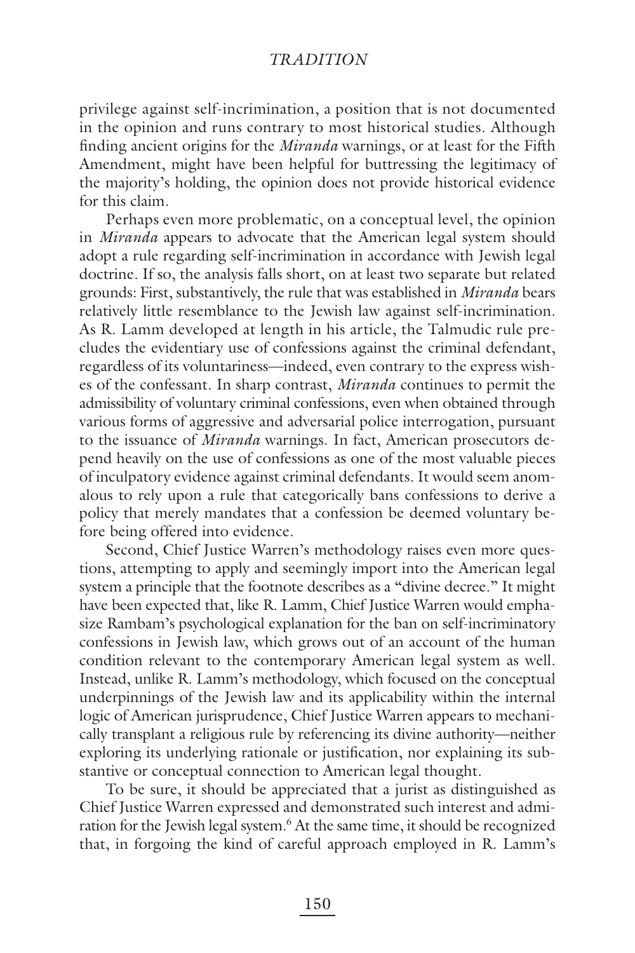privilege against self-incrimination, a position that is not documented in the opinion and runs contrary to most historical studies. Although finding ancient origins for the *Miranda* warnings, or at least for the Fifth Amendment, might have been helpful for buttressing the legitimacy of the majority's holding, the opinion does not provide historical evidence for this claim.

Perhaps even more problematic, on a conceptual level, the opinion in *Miranda* appears to advocate that the American legal system should adopt a rule regarding self-incrimination in accordance with Jewish legal doctrine. If so, the analysis falls short, on at least two separate but related grounds: First, substantively, the rule that was established in *Miranda* bears relatively little resemblance to the Jewish law against self-incrimination. As R. Lamm developed at length in his article, the Talmudic rule precludes the evidentiary use of confessions against the criminal defendant, regardless of its voluntariness—indeed, even contrary to the express wishes of the confessant. In sharp contrast, *Miranda* continues to permit the admissibility of voluntary criminal confessions, even when obtained through various forms of aggressive and adversarial police interrogation, pursuant to the issuance of *Miranda* warnings. In fact, American prosecutors depend heavily on the use of confessions as one of the most valuable pieces of inculpatory evidence against criminal defendants. It would seem anomalous to rely upon a rule that categorically bans confessions to derive a policy that merely mandates that a confession be deemed voluntary before being offered into evidence.

Second, Chief Justice Warren's methodology raises even more questions, attempting to apply and seemingly import into the American legal system a principle that the footnote describes as a "divine decree." It might have been expected that, like R. Lamm, Chief Justice Warren would emphasize Rambam's psychological explanation for the ban on self-incriminatory confessions in Jewish law, which grows out of an account of the human condition relevant to the contemporary American legal system as well. Instead, unlike R. Lamm's methodology, which focused on the conceptual underpinnings of the Jewish law and its applicability within the internal logic of American jurisprudence, Chief Justice Warren appears to mechanically transplant a religious rule by referencing its divine authority—neither exploring its underlying rationale or justification, nor explaining its substantive or conceptual connection to American legal thought.

To be sure, it should be appreciated that a jurist as distinguished as Chief Justice Warren expressed and demonstrated such interest and admiration for the Jewish legal system.<sup>6</sup> At the same time, it should be recognized that, in forgoing the kind of careful approach employed in R. Lamm's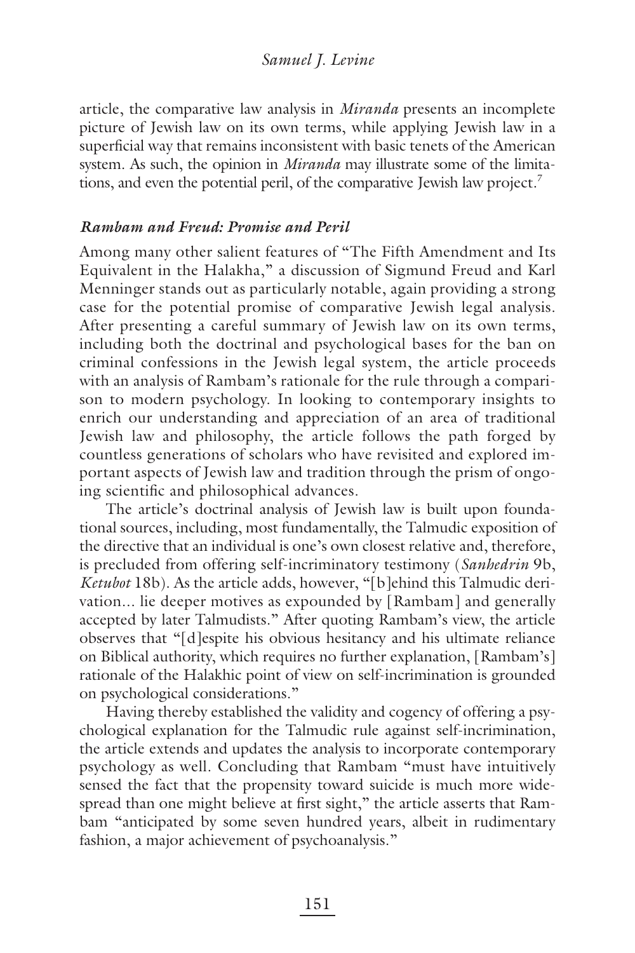article, the comparative law analysis in *Miranda* presents an incomplete picture of Jewish law on its own terms, while applying Jewish law in a superficial way that remains inconsistent with basic tenets of the American system. As such, the opinion in *Miranda* may illustrate some of the limitations, and even the potential peril, of the comparative Jewish law project.<sup>7</sup>

#### *Rambam and Freud: Promise and Peril*

Among many other salient features of "The Fifth Amendment and Its Equivalent in the Halakha," a discussion of Sigmund Freud and Karl Menninger stands out as particularly notable, again providing a strong case for the potential promise of comparative Jewish legal analysis. After presenting a careful summary of Jewish law on its own terms, including both the doctrinal and psychological bases for the ban on criminal confessions in the Jewish legal system, the article proceeds with an analysis of Rambam's rationale for the rule through a comparison to modern psychology. In looking to contemporary insights to enrich our understanding and appreciation of an area of traditional Jewish law and philosophy, the article follows the path forged by countless generations of scholars who have revisited and explored important aspects of Jewish law and tradition through the prism of ongoing scientific and philosophical advances.

The article's doctrinal analysis of Jewish law is built upon foundational sources, including, most fundamentally, the Talmudic exposition of the directive that an individual is one's own closest relative and, therefore, is precluded from offering self-incriminatory testimony (*Sanhedrin* 9b, *Ketubot* 18b). As the article adds, however, "[b]ehind this Talmudic derivation... lie deeper motives as expounded by [Rambam] and generally accepted by later Talmudists." After quoting Rambam's view, the article observes that "[d]espite his obvious hesitancy and his ultimate reliance on Biblical authority, which requires no further explanation, [Rambam's] rationale of the Halakhic point of view on self-incrimination is grounded on psychological considerations."

Having thereby established the validity and cogency of offering a psychological explanation for the Talmudic rule against self-incrimination, the article extends and updates the analysis to incorporate contemporary psychology as well. Concluding that Rambam "must have intuitively sensed the fact that the propensity toward suicide is much more widespread than one might believe at first sight," the article asserts that Rambam "anticipated by some seven hundred years, albeit in rudimentary fashion, a major achievement of psychoanalysis."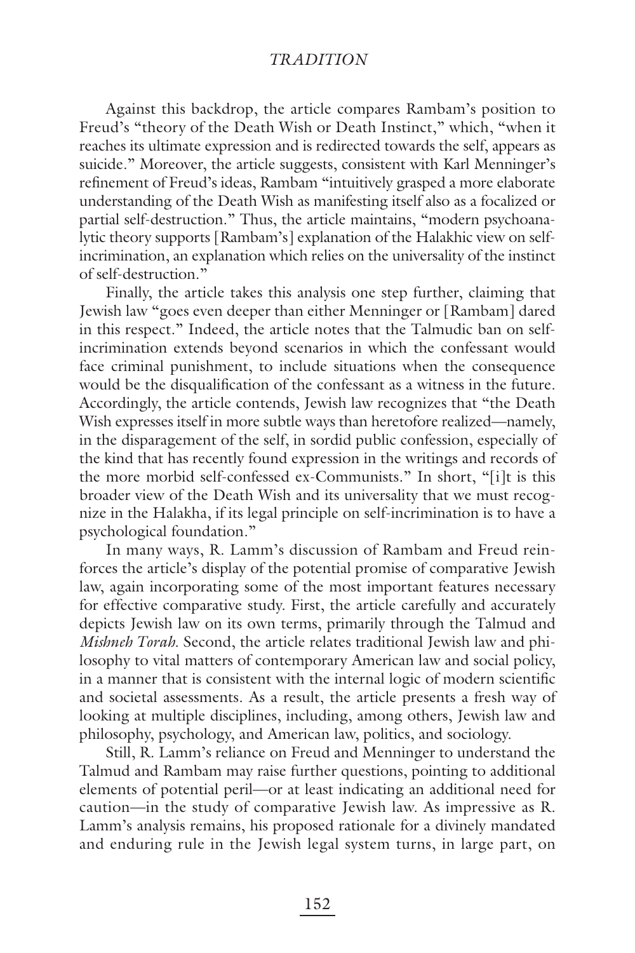Against this backdrop, the article compares Rambam's position to Freud's "theory of the Death Wish or Death Instinct," which, "when it reaches its ultimate expression and is redirected towards the self, appears as suicide." Moreover, the article suggests, consistent with Karl Menninger's refinement of Freud's ideas, Rambam "intuitively grasped a more elaborate understanding of the Death Wish as manifesting itself also as a focalized or partial self-destruction." Thus, the article maintains, "modern psychoanalytic theory supports [Rambam's] explanation of the Halakhic view on selfincrimination, an explanation which relies on the universality of the instinct of self-destruction."

Finally, the article takes this analysis one step further, claiming that Jewish law "goes even deeper than either Menninger or [Rambam] dared in this respect." Indeed, the article notes that the Talmudic ban on selfincrimination extends beyond scenarios in which the confessant would face criminal punishment, to include situations when the consequence would be the disqualification of the confessant as a witness in the future. Accordingly, the article contends, Jewish law recognizes that "the Death Wish expresses itself in more subtle ways than heretofore realized—namely, in the disparagement of the self, in sordid public confession, especially of the kind that has recently found expression in the writings and records of the more morbid self-confessed ex-Communists." In short, "[i]t is this broader view of the Death Wish and its universality that we must recognize in the Halakha, if its legal principle on self-incrimination is to have a psychological foundation."

In many ways, R. Lamm's discussion of Rambam and Freud reinforces the article's display of the potential promise of comparative Jewish law, again incorporating some of the most important features necessary for effective comparative study. First, the article carefully and accurately depicts Jewish law on its own terms, primarily through the Talmud and *Mishneh Torah*. Second, the article relates traditional Jewish law and philosophy to vital matters of contemporary American law and social policy, in a manner that is consistent with the internal logic of modern scientific and societal assessments. As a result, the article presents a fresh way of looking at multiple disciplines, including, among others, Jewish law and philosophy, psychology, and American law, politics, and sociology.

Still, R. Lamm's reliance on Freud and Menninger to understand the Talmud and Rambam may raise further questions, pointing to additional elements of potential peril—or at least indicating an additional need for caution—in the study of comparative Jewish law. As impressive as R. Lamm's analysis remains, his proposed rationale for a divinely mandated and enduring rule in the Jewish legal system turns, in large part, on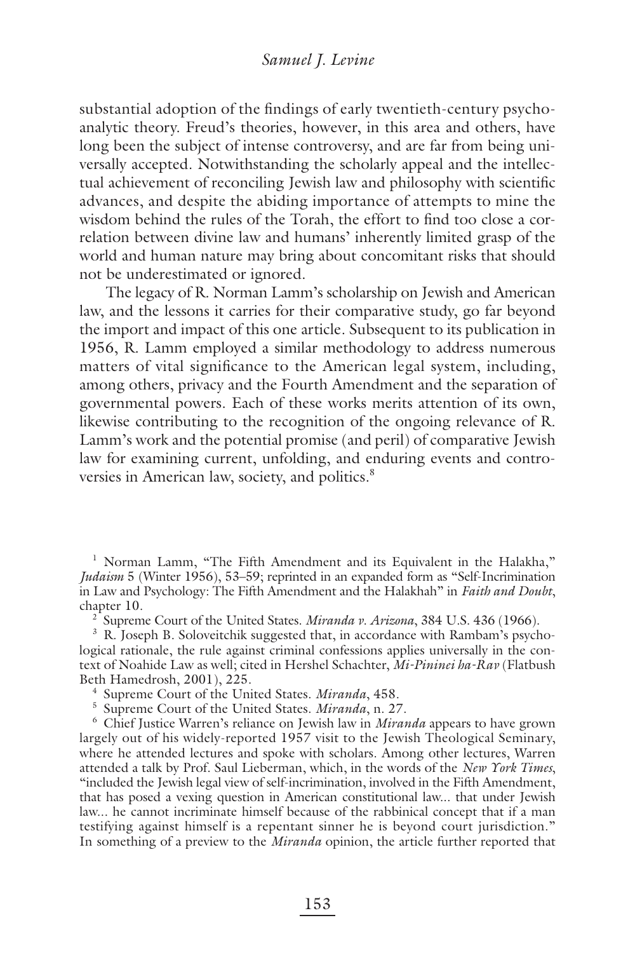substantial adoption of the findings of early twentieth-century psychoanalytic theory. Freud's theories, however, in this area and others, have long been the subject of intense controversy, and are far from being universally accepted. Notwithstanding the scholarly appeal and the intellectual achievement of reconciling Jewish law and philosophy with scientific advances, and despite the abiding importance of attempts to mine the wisdom behind the rules of the Torah, the effort to find too close a correlation between divine law and humans' inherently limited grasp of the world and human nature may bring about concomitant risks that should not be underestimated or ignored.

The legacy of R. Norman Lamm's scholarship on Jewish and American law, and the lessons it carries for their comparative study, go far beyond the import and impact of this one article. Subsequent to its publication in 1956, R. Lamm employed a similar methodology to address numerous matters of vital significance to the American legal system, including, among others, privacy and the Fourth Amendment and the separation of governmental powers. Each of these works merits attention of its own, likewise contributing to the recognition of the ongoing relevance of R. Lamm's work and the potential promise (and peril) of comparative Jewish law for examining current, unfolding, and enduring events and controversies in American law, society, and politics.<sup>8</sup>

<sup>1</sup> Norman Lamm, "The Fifth Amendment and its Equivalent in the Halakha," *Judaism* 5 (Winter 1956), 53–59; reprinted in an expanded form as "Self-Incrimination in Law and Psychology: The Fifth Amendment and the Halakhah" in *Faith and Doubt*, chapter 10.

2 Supreme Court of the United States. *Miranda v. Arizona*, 384 U.S. 436 (1966).

<sup>3</sup> R. Joseph B. Soloveitchik suggested that, in accordance with Rambam's psychological rationale, the rule against criminal confessions applies universally in the context of Noahide Law as well; cited in Hershel Schachter, *Mi-Pininei ha-Rav* (Flatbush Beth Hamedrosh, 2001), 225.

4 Supreme Court of the United States. *Miranda*, 458.

5 Supreme Court of the United States. *Miranda*, n. 27.

<sup>6</sup> Chief Justice Warren's reliance on Jewish law in *Miranda* appears to have grown largely out of his widely-reported 1957 visit to the Jewish Theological Seminary, where he attended lectures and spoke with scholars. Among other lectures, Warren attended a talk by Prof. Saul Lieberman, which, in the words of the *New York Times*, "included the Jewish legal view of self-incrimination, involved in the Fifth Amendment, that has posed a vexing question in American constitutional law... that under Jewish law... he cannot incriminate himself because of the rabbinical concept that if a man testifying against himself is a repentant sinner he is beyond court jurisdiction." In something of a preview to the *Miranda* opinion, the article further reported that